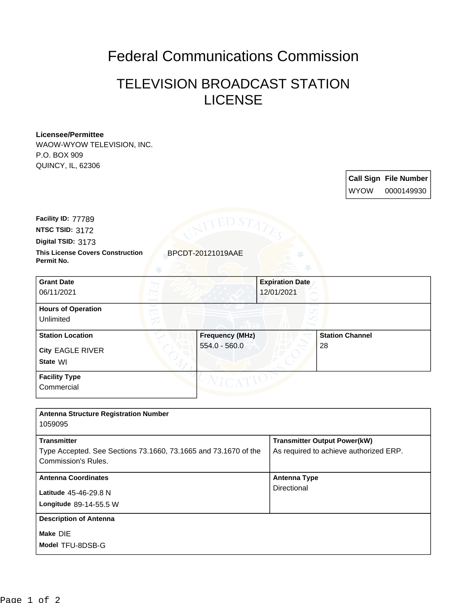## Federal Communications Commission

## TELEVISION BROADCAST STATION LICENSE

## **Licensee/Permittee**

WAOW-WYOW TELEVISION, INC. P.O. BOX 909 QUINCY, IL, 62306

> **Call Sign File Number** WYOW 0000149930

**Digital TSID:** 3173 **NTSC TSID:** 3172 **Facility ID:** 77789

**Permit No.**

**This License Covers Construction** BPCDT-20121019AAE

| <b>Grant Date</b>         |                        | <b>Expiration Date</b> |
|---------------------------|------------------------|------------------------|
| 06/11/2021                |                        | 12/01/2021             |
| <b>Hours of Operation</b> |                        | ℺                      |
| Unlimited                 |                        |                        |
| <b>Station Location</b>   | <b>Frequency (MHz)</b> | <b>Station Channel</b> |
| <b>City EAGLE RIVER</b>   | 554.0 - 560.0          | 28                     |
| State WI                  |                        |                        |
| <b>Facility Type</b>      |                        |                        |
| Commercial                |                        |                        |

| <b>Antenna Structure Registration Number</b><br>1059095                                                             |                                                                               |
|---------------------------------------------------------------------------------------------------------------------|-------------------------------------------------------------------------------|
| <b>Transmitter</b><br>Type Accepted. See Sections 73.1660, 73.1665 and 73.1670 of the<br><b>Commission's Rules.</b> | <b>Transmitter Output Power(kW)</b><br>As required to achieve authorized ERP. |
| <b>Antenna Coordinates</b><br><b>Latitude 45-46-29.8 N</b><br>Longitude 89-14-55.5 W                                | <b>Antenna Type</b><br>Directional                                            |
| <b>Description of Antenna</b><br>Make DIE<br>Model TFU-8DSB-G                                                       |                                                                               |